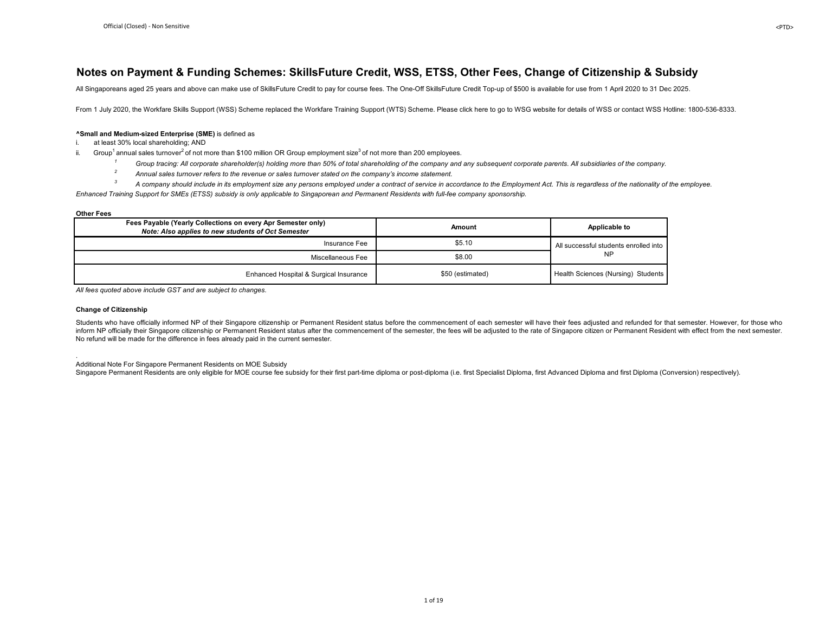#### **Notes on Payment & Funding Schemes: SkillsFuture Credit, WSS, ETSS, Other Fees, Change of Citizenship & Subsidy**

All Singaporeans aged 25 years and above can make use of SkillsFuture Credit to pay for course fees. The One-Off SkillsFuture Credit Top-up of \$500 is available for use from 1 April 2020 to 31 Dec 2025.

From 1 July 2020, the Workfare Skills Support (WSS) Scheme replaced the Workfare Training Support (WTS) Scheme. Please click here to go to WSG website for details of WSS or contact WSS Hotline: 1800-536-8333.

#### **^Small and Medium-sized Enterprise (SME)** is defined as

i. at least 30% local shareholding; AND

- ii. Group<sup>1</sup> annual sales turnover<sup>2</sup> of not more than \$100 million OR Group employment size<sup>3</sup> of not more than 200 employees.
	- <sup>1</sup> Group tracing: All corporate shareholder(s) holding more than 50% of total shareholding of the company and any subsequent corporate parents. All subsidiaries of the company.<br><sup>2</sup> Annual sales turnover refers to the reve
	- *2* Annual sales turnover refers to the revenue or sales turnover stated on the company's income statement.<br>A company should include in its employment size any persons employed under a contract of service in ac-
- *3 A company should include in its employment size any persons employed under a contract of service in accordance to the Employment Act. This is regardless of the nationality of the employee. Enhanced Training Support for SMEs (ETSS) subsidy is only applicable to Singaporean and Permanent Residents with full-fee company sponsorship.*

#### **Other Fees**

| Fees Payable (Yearly Collections on every Apr Semester only)<br>Note: Also applies to new students of Oct Semester | Amount           | Applicable to                         |
|--------------------------------------------------------------------------------------------------------------------|------------------|---------------------------------------|
| Insurance Fee                                                                                                      | \$5.10           | All successful students enrolled into |
| Miscellaneous Fee                                                                                                  | \$8.00           | <b>NP</b>                             |
| Enhanced Hospital & Surgical Insurance                                                                             | \$50 (estimated) | Health Sciences (Nursing) Students    |

*All fees quoted above include GST and are subject to changes.*

#### **Change of Citizenship**

Students who have officially informed NP of their Singapore citizenship or Permanent Resident status before the commencement of each semester will have their fees adiusted and refunded for that semester. However, for those inform NP officially their Singapore citizenship or Permanent Resident status after the commencement of the semester, the fees will be adjusted to the rate of Singapore citizen or Permanent Resident with effect from the ne No refund will be made for the difference in fees already paid in the current semester.

. Additional Note For Singapore Permanent Residents on MOE Subsidy

Singapore Permanent Residents are only eligible for MOE course fee subsidy for their first part-time diploma or post-diploma (i.e. first Specialist Diploma, first Advanced Diploma and first Diploma (Conversion) respectivel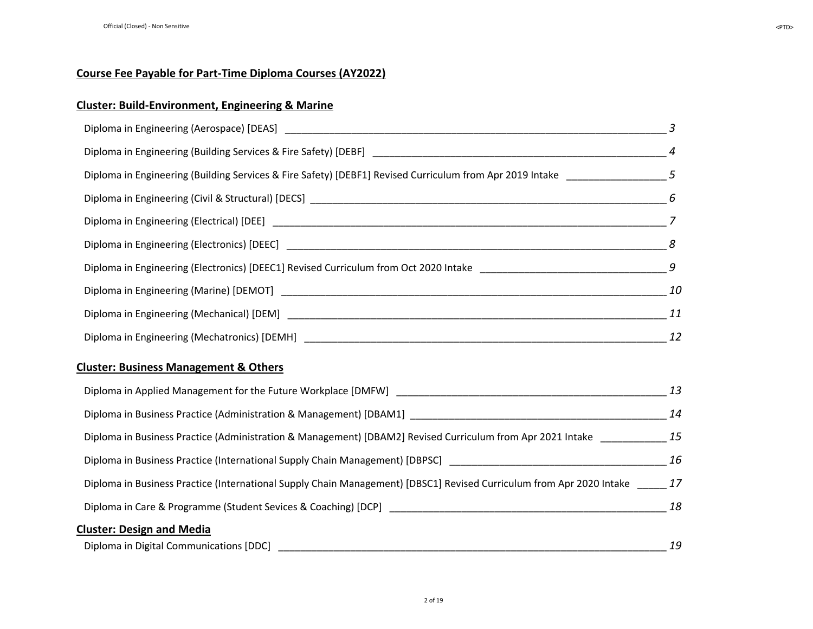## **Cluster: Build-Environment, Engineering & Marine**

| Diploma in Engineering (Building Services & Fire Safety) [DEBF1] Revised Curriculum from Apr 2019 Intake ________________5    |    |
|-------------------------------------------------------------------------------------------------------------------------------|----|
|                                                                                                                               |    |
|                                                                                                                               |    |
|                                                                                                                               |    |
|                                                                                                                               |    |
|                                                                                                                               |    |
|                                                                                                                               |    |
|                                                                                                                               |    |
| <b>Cluster: Business Management &amp; Others</b>                                                                              |    |
|                                                                                                                               |    |
|                                                                                                                               |    |
| Diploma in Business Practice (Administration & Management) [DBAM2] Revised Curriculum from Apr 2021 Intake ____________ 15    |    |
|                                                                                                                               |    |
| Diploma in Business Practice (International Supply Chain Management) [DBSC1] Revised Curriculum from Apr 2020 Intake _____ 17 |    |
|                                                                                                                               |    |
| <b>Cluster: Design and Media</b>                                                                                              |    |
| Diploma in Digital Communications [DDC]                                                                                       | 19 |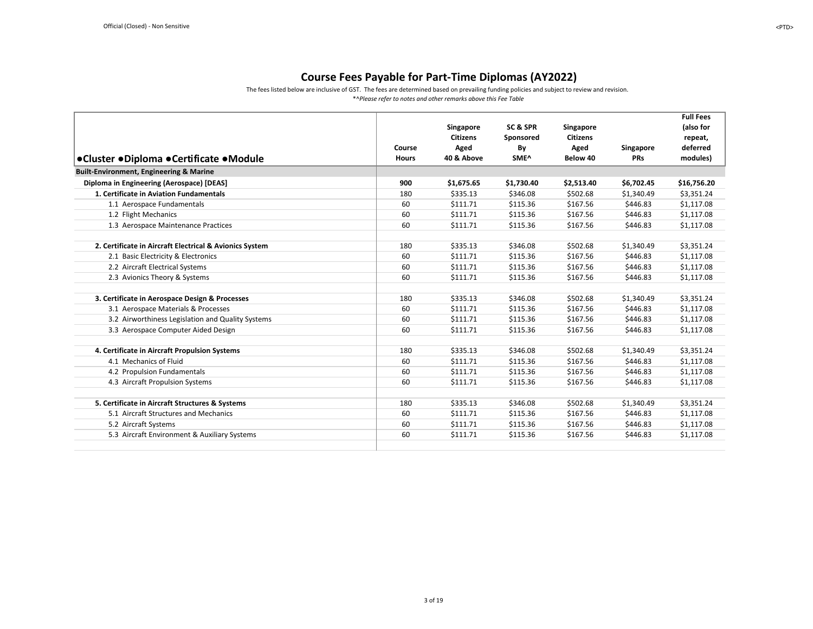The fees listed below are inclusive of GST. The fees are determined based on prevailing funding policies and subject to review and revision. \*^*Please refer to notes and other remarks above this Fee Table*

<span id="page-2-0"></span>

|                                                         |              | Singapore       | SC&SPR     | Singapore       |            | <b>Full Fees</b><br>(also for |
|---------------------------------------------------------|--------------|-----------------|------------|-----------------|------------|-------------------------------|
|                                                         |              | <b>Citizens</b> | Sponsored  | <b>Citizens</b> |            | repeat,                       |
|                                                         | Course       | Aged            | By         | Aged            | Singapore  | deferred                      |
| ●Cluster ●Diploma ●Certificate ●Module                  | <b>Hours</b> | 40 & Above      | SME^       | Below 40        | <b>PRs</b> | modules)                      |
| Built-Environment, Engineering & Marine                 |              |                 |            |                 |            |                               |
| Diploma in Engineering (Aerospace) [DEAS]               | 900          | \$1,675.65      | \$1,730.40 | \$2,513.40      | \$6,702.45 | \$16,756.20                   |
| 1. Certificate in Aviation Fundamentals                 | 180          | \$335.13        | \$346.08   | \$502.68        | \$1,340.49 | \$3,351.24                    |
| 1.1 Aerospace Fundamentals                              | 60           | \$111.71        | \$115.36   | \$167.56        | \$446.83   | \$1,117.08                    |
| 1.2 Flight Mechanics                                    | 60           | \$111.71        | \$115.36   | \$167.56        | \$446.83   | \$1,117.08                    |
| 1.3 Aerospace Maintenance Practices                     | 60           | \$111.71        | \$115.36   | \$167.56        | \$446.83   | \$1,117.08                    |
|                                                         |              |                 |            |                 |            |                               |
| 2. Certificate in Aircraft Electrical & Avionics System | 180          | \$335.13        | \$346.08   | \$502.68        | \$1,340.49 | \$3,351.24                    |
| 2.1 Basic Electricity & Electronics                     | 60           | \$111.71        | \$115.36   | \$167.56        | \$446.83   | \$1,117.08                    |
| 2.2 Aircraft Electrical Systems                         | 60           | \$111.71        | \$115.36   | \$167.56        | \$446.83   | \$1,117.08                    |
| 2.3 Avionics Theory & Systems                           | 60           | \$111.71        | \$115.36   | \$167.56        | \$446.83   | \$1,117.08                    |
|                                                         |              |                 |            |                 |            |                               |
| 3. Certificate in Aerospace Design & Processes          | 180          | \$335.13        | \$346.08   | \$502.68        | \$1,340.49 | \$3,351.24                    |
| 3.1 Aerospace Materials & Processes                     | 60           | \$111.71        | \$115.36   | \$167.56        | \$446.83   | \$1,117.08                    |
| 3.2 Airworthiness Legislation and Quality Systems       | 60           | \$111.71        | \$115.36   | \$167.56        | \$446.83   | \$1,117.08                    |
| 3.3 Aerospace Computer Aided Design                     | 60           | \$111.71        | \$115.36   | \$167.56        | \$446.83   | \$1,117.08                    |
|                                                         |              |                 |            |                 |            |                               |
| 4. Certificate in Aircraft Propulsion Systems           | 180          | \$335.13        | \$346.08   | \$502.68        | \$1,340.49 | \$3,351.24                    |
| 4.1 Mechanics of Fluid                                  | 60           | \$111.71        | \$115.36   | \$167.56        | \$446.83   | \$1,117.08                    |
| 4.2 Propulsion Fundamentals                             | 60           | \$111.71        | \$115.36   | \$167.56        | \$446.83   | \$1,117.08                    |
| 4.3 Aircraft Propulsion Systems                         | 60           | \$111.71        | \$115.36   | \$167.56        | \$446.83   | \$1,117.08                    |
|                                                         |              |                 |            |                 |            |                               |
| 5. Certificate in Aircraft Structures & Systems         | 180          | \$335.13        | \$346.08   | \$502.68        | \$1,340.49 | \$3,351.24                    |
| 5.1 Aircraft Structures and Mechanics                   | 60           | \$111.71        | \$115.36   | \$167.56        | \$446.83   | \$1,117.08                    |
| 5.2 Aircraft Systems                                    | 60           | \$111.71        | \$115.36   | \$167.56        | \$446.83   | \$1,117.08                    |
| 5.3 Aircraft Environment & Auxiliary Systems            | 60           | \$111.71        | \$115.36   | \$167.56        | \$446.83   | \$1,117.08                    |
|                                                         |              |                 |            |                 |            |                               |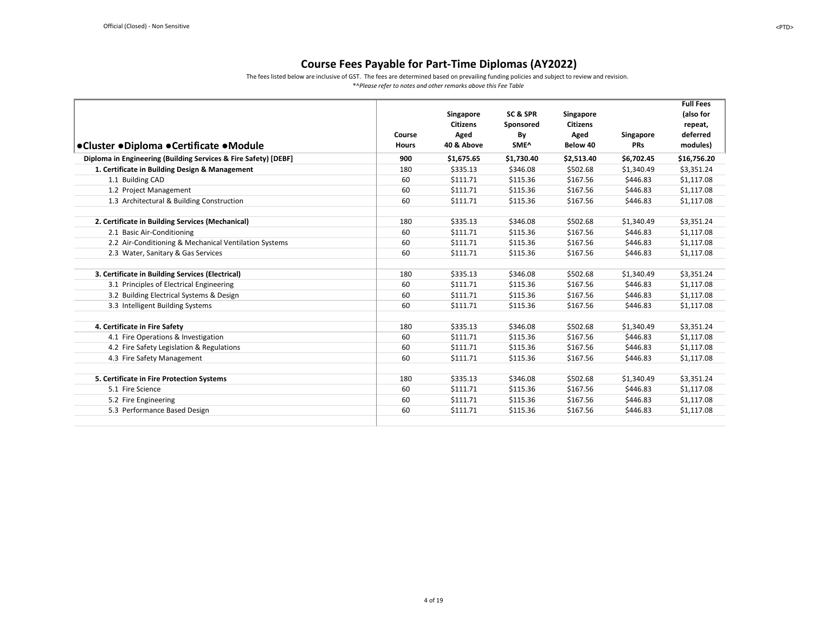The fees listed below are inclusive of GST. The fees are determined based on prevailing funding policies and subject to review and revision.

<span id="page-3-0"></span>

|                                                                 |              |                 |            |                 |            | <b>Full Fees</b> |
|-----------------------------------------------------------------|--------------|-----------------|------------|-----------------|------------|------------------|
|                                                                 |              | Singapore       | SC&SPR     | Singapore       |            | (also for        |
|                                                                 |              | <b>Citizens</b> | Sponsored  | <b>Citizens</b> |            | repeat,          |
|                                                                 | Course       | Aged            | By         | Aged            | Singapore  | deferred         |
| ●Cluster ●Diploma ●Certificate ●Module                          | <b>Hours</b> | 40 & Above      | SME^       | Below 40        | <b>PRs</b> | modules)         |
| Diploma in Engineering (Building Services & Fire Safety) [DEBF] | 900          | \$1,675.65      | \$1,730.40 | \$2,513.40      | \$6,702.45 | \$16,756.20      |
| 1. Certificate in Building Design & Management                  | 180          | \$335.13        | \$346.08   | \$502.68        | \$1,340.49 | \$3,351.24       |
| 1.1 Building CAD                                                | 60           | \$111.71        | \$115.36   | \$167.56        | \$446.83   | \$1,117.08       |
| 1.2 Project Management                                          | 60           | \$111.71        | \$115.36   | \$167.56        | \$446.83   | \$1,117.08       |
| 1.3 Architectural & Building Construction                       | 60           | \$111.71        | \$115.36   | \$167.56        | \$446.83   | \$1,117.08       |
|                                                                 |              |                 |            |                 |            |                  |
| 2. Certificate in Building Services (Mechanical)                | 180          | \$335.13        | \$346.08   | \$502.68        | \$1,340.49 | \$3,351.24       |
| 2.1 Basic Air-Conditioning                                      | 60           | \$111.71        | \$115.36   | \$167.56        | \$446.83   | \$1,117.08       |
| 2.2 Air-Conditioning & Mechanical Ventilation Systems           | 60           | \$111.71        | \$115.36   | \$167.56        | \$446.83   | \$1,117.08       |
| 2.3 Water, Sanitary & Gas Services                              | 60           | \$111.71        | \$115.36   | \$167.56        | \$446.83   | \$1,117.08       |
|                                                                 |              |                 |            |                 |            |                  |
| 3. Certificate in Building Services (Electrical)                | 180          | \$335.13        | \$346.08   | \$502.68        | \$1,340.49 | \$3,351.24       |
| 3.1 Principles of Electrical Engineering                        | 60           | \$111.71        | \$115.36   | \$167.56        | \$446.83   | \$1,117.08       |
| 3.2 Building Electrical Systems & Design                        | 60           | \$111.71        | \$115.36   | \$167.56        | \$446.83   | \$1,117.08       |
| 3.3 Intelligent Building Systems                                | 60           | \$111.71        | \$115.36   | \$167.56        | \$446.83   | \$1,117.08       |
|                                                                 |              |                 |            |                 |            |                  |
| 4. Certificate in Fire Safety                                   | 180          | \$335.13        | \$346.08   | \$502.68        | \$1,340.49 | \$3,351.24       |
| 4.1 Fire Operations & Investigation                             | 60           | \$111.71        | \$115.36   | \$167.56        | \$446.83   | \$1,117.08       |
| 4.2 Fire Safety Legislation & Regulations                       | 60           | \$111.71        | \$115.36   | \$167.56        | \$446.83   | \$1,117.08       |
| 4.3 Fire Safety Management                                      | 60           | \$111.71        | \$115.36   | \$167.56        | \$446.83   | \$1,117.08       |
|                                                                 |              |                 |            |                 |            |                  |
| 5. Certificate in Fire Protection Systems                       | 180          | \$335.13        | \$346.08   | \$502.68        | \$1,340.49 | \$3,351.24       |
| 5.1 Fire Science                                                | 60           | \$111.71        | \$115.36   | \$167.56        | \$446.83   | \$1,117.08       |
| 5.2 Fire Engineering                                            | 60           | \$111.71        | \$115.36   | \$167.56        | \$446.83   | \$1,117.08       |
| 5.3 Performance Based Design                                    | 60           | \$111.71        | \$115.36   | \$167.56        | \$446.83   | \$1,117.08       |
|                                                                 |              |                 |            |                 |            |                  |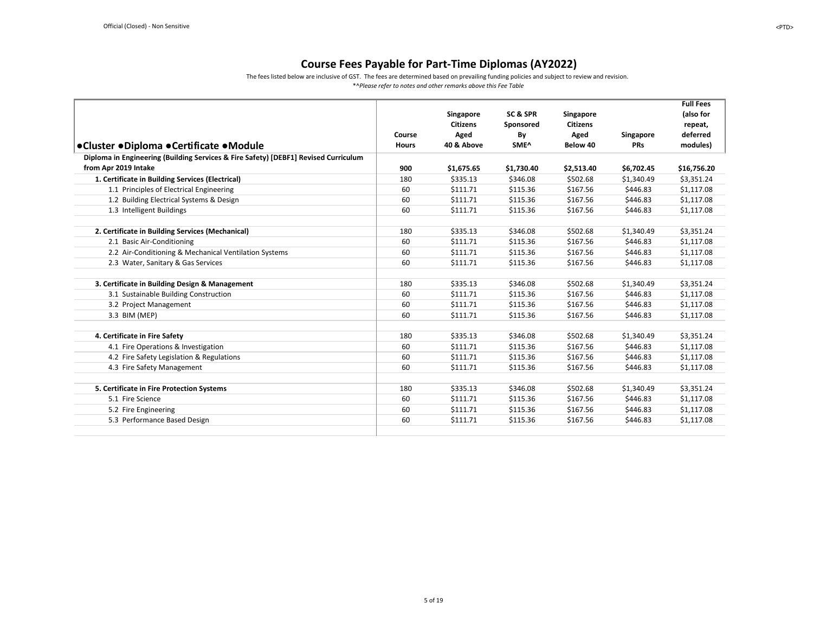The fees listed below are inclusive of GST. The fees are determined based on prevailing funding policies and subject to review and revision.

<span id="page-4-0"></span>

|                                                                                     |              |                 |                  |                 |            | <b>Full Fees</b> |
|-------------------------------------------------------------------------------------|--------------|-----------------|------------------|-----------------|------------|------------------|
|                                                                                     |              | Singapore       | SC & SPR         | Singapore       |            | (also for        |
|                                                                                     |              | <b>Citizens</b> | Sponsored        | <b>Citizens</b> |            | repeat,          |
|                                                                                     | Course       | Aged            | By               | Aged            | Singapore  | deferred         |
| ●Cluster ●Diploma ●Certificate ●Module                                              | <b>Hours</b> | 40 & Above      | SME <sup>^</sup> | Below 40        | <b>PRs</b> | modules)         |
| Diploma in Engineering (Building Services & Fire Safety) [DEBF1] Revised Curriculum |              |                 |                  |                 |            |                  |
| from Apr 2019 Intake                                                                | 900          | \$1,675.65      | \$1,730.40       | \$2,513.40      | \$6,702.45 | \$16,756.20      |
| 1. Certificate in Building Services (Electrical)                                    | 180          | \$335.13        | \$346.08         | \$502.68        | \$1,340.49 | \$3,351.24       |
| 1.1 Principles of Electrical Engineering                                            | 60           | \$111.71        | \$115.36         | \$167.56        | \$446.83   | \$1,117.08       |
| 1.2 Building Electrical Systems & Design                                            | 60           | \$111.71        | \$115.36         | \$167.56        | \$446.83   | \$1,117.08       |
| 1.3 Intelligent Buildings                                                           | 60           | \$111.71        | \$115.36         | \$167.56        | \$446.83   | \$1,117.08       |
|                                                                                     |              |                 |                  |                 |            |                  |
| 2. Certificate in Building Services (Mechanical)                                    | 180          | \$335.13        | \$346.08         | \$502.68        | \$1,340.49 | \$3,351.24       |
| 2.1 Basic Air-Conditioning                                                          | 60           | \$111.71        | \$115.36         | \$167.56        | \$446.83   | \$1,117.08       |
| 2.2 Air-Conditioning & Mechanical Ventilation Systems                               | 60           | \$111.71        | \$115.36         | \$167.56        | \$446.83   | \$1,117.08       |
| 2.3 Water, Sanitary & Gas Services                                                  | 60           | \$111.71        | \$115.36         | \$167.56        | \$446.83   | \$1,117.08       |
|                                                                                     |              |                 |                  |                 |            |                  |
| 3. Certificate in Building Design & Management                                      | 180          | \$335.13        | \$346.08         | \$502.68        | \$1,340.49 | \$3,351.24       |
| 3.1 Sustainable Building Construction                                               | 60           | \$111.71        | \$115.36         | \$167.56        | \$446.83   | \$1,117.08       |
| 3.2 Project Management                                                              | 60           | \$111.71        | \$115.36         | \$167.56        | \$446.83   | \$1,117.08       |
| 3.3 BIM (MEP)                                                                       | 60           | \$111.71        | \$115.36         | \$167.56        | \$446.83   | \$1,117.08       |
|                                                                                     |              |                 |                  |                 |            |                  |
| 4. Certificate in Fire Safety                                                       | 180          | \$335.13        | \$346.08         | \$502.68        | \$1,340.49 | \$3,351.24       |
| 4.1 Fire Operations & Investigation                                                 | 60           | \$111.71        | \$115.36         | \$167.56        | \$446.83   | \$1,117.08       |
| 4.2 Fire Safety Legislation & Regulations                                           | 60           | \$111.71        | \$115.36         | \$167.56        | \$446.83   | \$1,117.08       |
| 4.3 Fire Safety Management                                                          | 60           | \$111.71        | \$115.36         | \$167.56        | \$446.83   | \$1,117.08       |
|                                                                                     |              |                 |                  |                 |            |                  |
| 5. Certificate in Fire Protection Systems                                           | 180          | \$335.13        | \$346.08         | \$502.68        | \$1,340.49 | \$3,351.24       |
| 5.1 Fire Science                                                                    | 60           | \$111.71        | \$115.36         | \$167.56        | \$446.83   | \$1,117.08       |
| 5.2 Fire Engineering                                                                | 60           | \$111.71        | \$115.36         | \$167.56        | \$446.83   | \$1,117.08       |
| 5.3 Performance Based Design                                                        | 60           | \$111.71        | \$115.36         | \$167.56        | \$446.83   | \$1,117.08       |
|                                                                                     |              |                 |                  |                 |            |                  |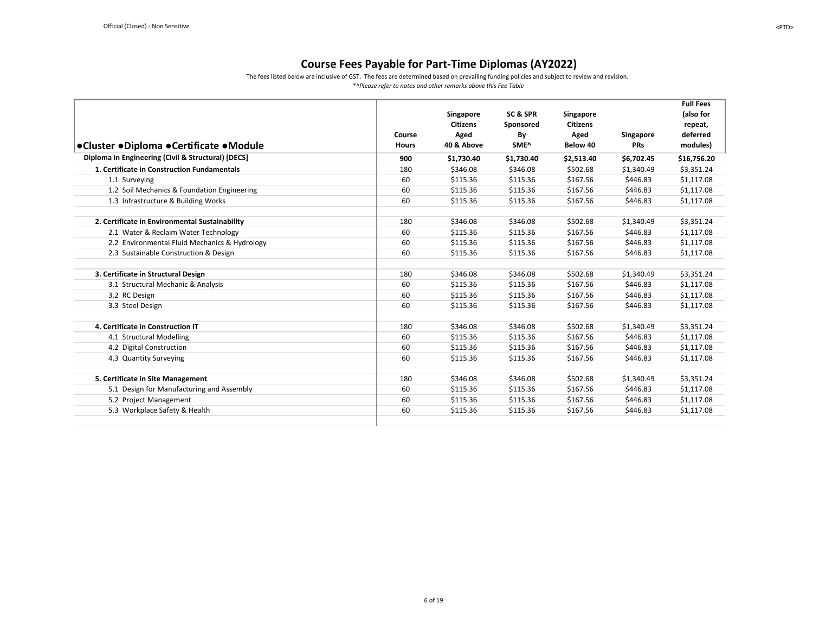The fees listed below are inclusive of GST. The fees are determined based on prevailing funding policies and subject to review and revision.

<span id="page-5-0"></span>

|                                                    |              |                 |            |                 |            | <b>Full Fees</b> |
|----------------------------------------------------|--------------|-----------------|------------|-----------------|------------|------------------|
|                                                    |              | Singapore       | SC & SPR   | Singapore       |            | (also for        |
|                                                    |              | <b>Citizens</b> | Sponsored  | <b>Citizens</b> |            | repeat,          |
|                                                    | Course       | Aged            | By         | Aged            | Singapore  | deferred         |
| ●Cluster ●Diploma ●Certificate ●Module             | <b>Hours</b> | 40 & Above      | SME^       | Below 40        | <b>PRs</b> | modules)         |
| Diploma in Engineering (Civil & Structural) [DECS] | 900          | \$1,730.40      | \$1,730.40 | \$2,513.40      | \$6,702.45 | \$16,756.20      |
| 1. Certificate in Construction Fundamentals        | 180          | \$346.08        | \$346.08   | \$502.68        | \$1,340.49 | \$3,351.24       |
| 1.1 Surveying                                      | 60           | \$115.36        | \$115.36   | \$167.56        | \$446.83   | \$1,117.08       |
| 1.2 Soil Mechanics & Foundation Engineering        | 60           | \$115.36        | \$115.36   | \$167.56        | \$446.83   | \$1,117.08       |
| 1.3 Infrastructure & Building Works                | 60           | \$115.36        | \$115.36   | \$167.56        | \$446.83   | \$1,117.08       |
|                                                    |              |                 |            |                 |            |                  |
| 2. Certificate in Environmental Sustainability     | 180          | \$346.08        | \$346.08   | \$502.68        | \$1,340.49 | \$3,351.24       |
| 2.1 Water & Reclaim Water Technology               | 60           | \$115.36        | \$115.36   | \$167.56        | \$446.83   | \$1,117.08       |
| 2.2 Environmental Fluid Mechanics & Hydrology      | 60           | \$115.36        | \$115.36   | \$167.56        | \$446.83   | \$1,117.08       |
| 2.3 Sustainable Construction & Design              | 60           | \$115.36        | \$115.36   | \$167.56        | \$446.83   | \$1,117.08       |
| 3. Certificate in Structural Design                | 180          | \$346.08        | \$346.08   | \$502.68        | \$1,340.49 | \$3,351.24       |
| 3.1 Structural Mechanic & Analysis                 | 60           | \$115.36        | \$115.36   | \$167.56        | \$446.83   | \$1,117.08       |
|                                                    | 60           | \$115.36        | \$115.36   | \$167.56        | \$446.83   |                  |
| 3.2 RC Design                                      |              |                 |            |                 |            | \$1,117.08       |
| 3.3 Steel Design                                   | 60           | \$115.36        | \$115.36   | \$167.56        | \$446.83   | \$1,117.08       |
| 4. Certificate in Construction IT                  | 180          | \$346.08        | \$346.08   | \$502.68        | \$1,340.49 | \$3,351.24       |
| 4.1 Structural Modelling                           | 60           | \$115.36        | \$115.36   | \$167.56        | \$446.83   | \$1,117.08       |
| 4.2 Digital Construction                           | 60           | \$115.36        | \$115.36   | \$167.56        | \$446.83   | \$1,117.08       |
| 4.3 Quantity Surveying                             | 60           | \$115.36        | \$115.36   | \$167.56        | \$446.83   | \$1,117.08       |
|                                                    |              |                 |            |                 |            |                  |
| 5. Certificate in Site Management                  | 180          | \$346.08        | \$346.08   | \$502.68        | \$1,340.49 | \$3,351.24       |
| 5.1 Design for Manufacturing and Assembly          | 60           | \$115.36        | \$115.36   | \$167.56        | \$446.83   | \$1,117.08       |
| 5.2 Project Management                             | 60           | \$115.36        | \$115.36   | \$167.56        | \$446.83   | \$1,117.08       |
| 5.3 Workplace Safety & Health                      | 60           | \$115.36        | \$115.36   | \$167.56        | \$446.83   | \$1,117.08       |
|                                                    |              |                 |            |                 |            |                  |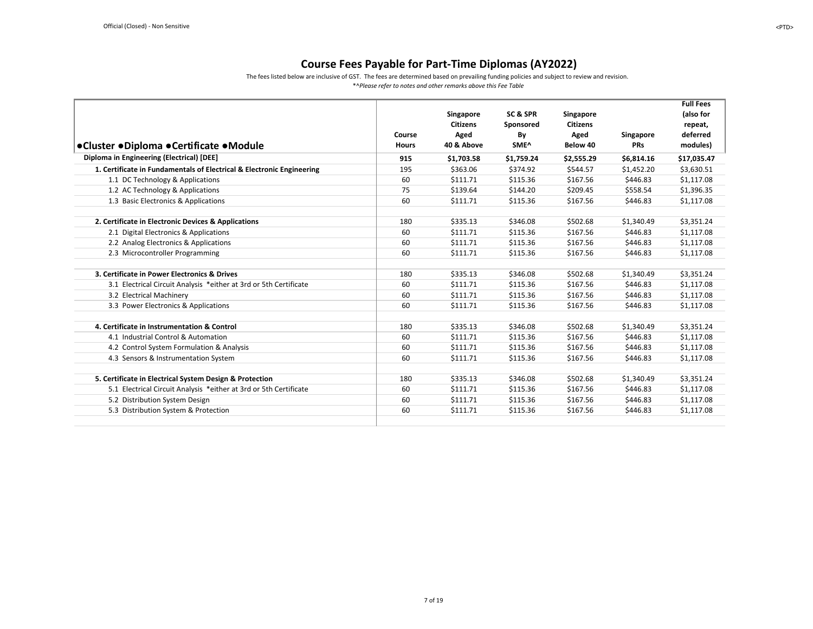The fees listed below are inclusive of GST. The fees are determined based on prevailing funding policies and subject to review and revision.

<span id="page-6-0"></span>

|                                                                       |              |                 |            |                      |            | <b>Full Fees</b> |
|-----------------------------------------------------------------------|--------------|-----------------|------------|----------------------|------------|------------------|
|                                                                       |              | Singapore       | SC & SPR   | Singapore            |            | (also for        |
|                                                                       |              | <b>Citizens</b> | Sponsored  | <b>Citizens</b>      |            | repeat,          |
|                                                                       | Course       | Aged            | By         | Aged                 | Singapore  | deferred         |
| ●Cluster ●Diploma ●Certificate ●Module                                | <b>Hours</b> | 40 & Above      | SME^       | Below 40             | <b>PRs</b> | modules)         |
| Diploma in Engineering (Electrical) [DEE]                             | 915          | \$1,703.58      | \$1,759.24 | \$2,555.29           | \$6,814.16 | \$17,035.47      |
| 1. Certificate in Fundamentals of Electrical & Electronic Engineering | 195          | \$363.06        | \$374.92   | \$544.57             | \$1,452.20 | \$3,630.51       |
| 1.1 DC Technology & Applications                                      | 60           | \$111.71        | \$115.36   | \$167.56             | \$446.83   | \$1,117.08       |
| 1.2 AC Technology & Applications                                      | 75           | \$139.64        | \$144.20   | \$209.45             | \$558.54   | \$1,396.35       |
| 1.3 Basic Electronics & Applications                                  | 60           | \$111.71        | \$115.36   | \$167.56             | \$446.83   | \$1,117.08       |
|                                                                       | 180          |                 |            |                      |            |                  |
| 2. Certificate in Electronic Devices & Applications                   |              | \$335.13        | \$346.08   | \$502.68<br>\$167.56 | \$1,340.49 | \$3,351.24       |
| 2.1 Digital Electronics & Applications                                | 60           | \$111.71        | \$115.36   |                      | \$446.83   | \$1,117.08       |
| 2.2 Analog Electronics & Applications                                 | 60           | \$111.71        | \$115.36   | \$167.56             | \$446.83   | \$1,117.08       |
| 2.3 Microcontroller Programming                                       | 60           | \$111.71        | \$115.36   | \$167.56             | \$446.83   | \$1,117.08       |
| 3. Certificate in Power Electronics & Drives                          | 180          | \$335.13        | \$346.08   | \$502.68             | \$1,340.49 | \$3,351.24       |
| 3.1 Electrical Circuit Analysis *either at 3rd or 5th Certificate     | 60           | \$111.71        | \$115.36   | \$167.56             | \$446.83   | \$1,117.08       |
| 3.2 Electrical Machinery                                              | 60           | \$111.71        | \$115.36   | \$167.56             | \$446.83   | \$1,117.08       |
| 3.3 Power Electronics & Applications                                  | 60           | \$111.71        | \$115.36   | \$167.56             | \$446.83   | \$1,117.08       |
|                                                                       |              |                 |            |                      |            |                  |
| 4. Certificate in Instrumentation & Control                           | 180          | \$335.13        | \$346.08   | \$502.68             | \$1,340.49 | \$3,351.24       |
| 4.1 Industrial Control & Automation                                   | 60           | \$111.71        | \$115.36   | \$167.56             | \$446.83   | \$1,117.08       |
| 4.2 Control System Formulation & Analysis                             | 60           | \$111.71        | \$115.36   | \$167.56             | \$446.83   | \$1,117.08       |
| 4.3 Sensors & Instrumentation System                                  | 60           | \$111.71        | \$115.36   | \$167.56             | \$446.83   | \$1,117.08       |
| 5. Certificate in Electrical System Design & Protection               | 180          | \$335.13        | \$346.08   | \$502.68             | \$1,340.49 | \$3,351.24       |
| 5.1 Electrical Circuit Analysis *either at 3rd or 5th Certificate     | 60           | \$111.71        | \$115.36   | \$167.56             | \$446.83   | \$1,117.08       |
| 5.2 Distribution System Design                                        | 60           | \$111.71        | \$115.36   | \$167.56             | \$446.83   | \$1,117.08       |
| 5.3 Distribution System & Protection                                  | 60           | \$111.71        | \$115.36   | \$167.56             | \$446.83   | \$1,117.08       |
|                                                                       |              |                 |            |                      |            |                  |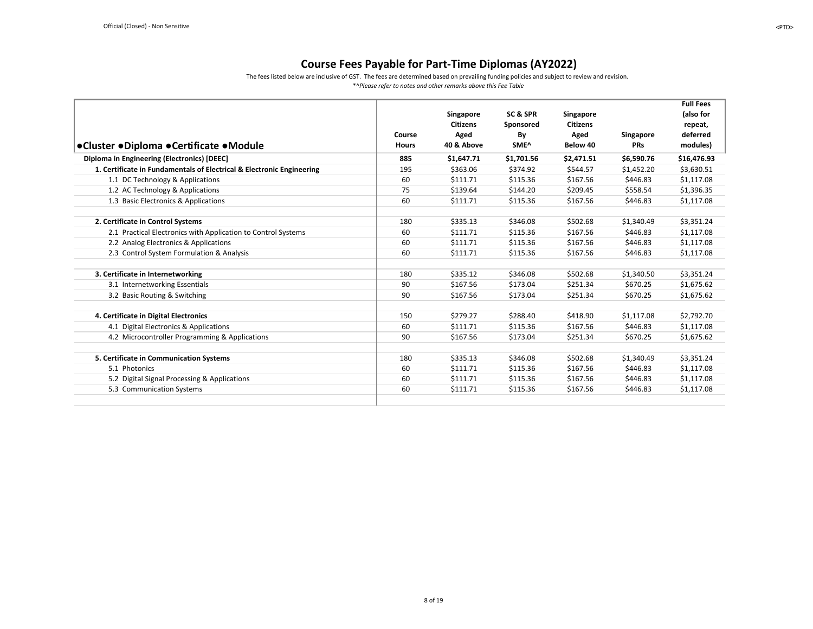The fees listed below are inclusive of GST. The fees are determined based on prevailing funding policies and subject to review and revision.

<span id="page-7-0"></span>

|                                                                       |              |                 |                  |                 |            | <b>Full Fees</b> |
|-----------------------------------------------------------------------|--------------|-----------------|------------------|-----------------|------------|------------------|
|                                                                       |              | Singapore       | SC & SPR         | Singapore       |            | (also for        |
|                                                                       |              | <b>Citizens</b> | Sponsored        | <b>Citizens</b> |            | repeat,          |
|                                                                       | Course       | Aged            | By               | Aged            | Singapore  | deferred         |
| ●Cluster ●Diploma ●Certificate ●Module                                | <b>Hours</b> | 40 & Above      | SME <sup>^</sup> | Below 40        | <b>PRs</b> | modules)         |
| Diploma in Engineering (Electronics) [DEEC]                           | 885          | \$1,647.71      | \$1,701.56       | \$2,471.51      | \$6,590.76 | \$16,476.93      |
| 1. Certificate in Fundamentals of Electrical & Electronic Engineering | 195          | \$363.06        | \$374.92         | \$544.57        | \$1,452.20 | \$3,630.51       |
| 1.1 DC Technology & Applications                                      | 60           | \$111.71        | \$115.36         | \$167.56        | \$446.83   | \$1,117.08       |
| 1.2 AC Technology & Applications                                      | 75           | \$139.64        | \$144.20         | \$209.45        | \$558.54   | \$1,396.35       |
| 1.3 Basic Electronics & Applications                                  | 60           | \$111.71        | \$115.36         | \$167.56        | \$446.83   | \$1,117.08       |
|                                                                       |              |                 |                  |                 |            |                  |
| 2. Certificate in Control Systems                                     | 180          | \$335.13        | \$346.08         | \$502.68        | \$1,340.49 | \$3,351.24       |
| 2.1 Practical Electronics with Application to Control Systems         | 60           | \$111.71        | \$115.36         | \$167.56        | \$446.83   | \$1,117.08       |
| 2.2 Analog Electronics & Applications                                 | 60           | \$111.71        | \$115.36         | \$167.56        | \$446.83   | \$1,117.08       |
| 2.3 Control System Formulation & Analysis                             | 60           | \$111.71        | \$115.36         | \$167.56        | \$446.83   | \$1,117.08       |
|                                                                       |              |                 |                  |                 |            |                  |
| 3. Certificate in Internetworking                                     | 180          | \$335.12        | \$346.08         | \$502.68        | \$1,340.50 | \$3,351.24       |
| 3.1 Internetworking Essentials                                        | 90           | \$167.56        | \$173.04         | \$251.34        | \$670.25   | \$1,675.62       |
| 3.2 Basic Routing & Switching                                         | 90           | \$167.56        | \$173.04         | \$251.34        | \$670.25   | \$1,675.62       |
|                                                                       |              |                 |                  |                 |            |                  |
| 4. Certificate in Digital Electronics                                 | 150          | \$279.27        | \$288.40         | \$418.90        | \$1,117.08 | \$2,792.70       |
| 4.1 Digital Electronics & Applications                                | 60           | \$111.71        | \$115.36         | \$167.56        | \$446.83   | \$1,117.08       |
| 4.2 Microcontroller Programming & Applications                        | 90           | \$167.56        | \$173.04         | \$251.34        | \$670.25   | \$1,675.62       |
|                                                                       |              |                 |                  |                 |            |                  |
| 5. Certificate in Communication Systems                               | 180          | \$335.13        | \$346.08         | \$502.68        | \$1,340.49 | \$3,351.24       |
| 5.1 Photonics                                                         | 60           | \$111.71        | \$115.36         | \$167.56        | \$446.83   | \$1,117.08       |
| 5.2 Digital Signal Processing & Applications                          | 60           | \$111.71        | \$115.36         | \$167.56        | \$446.83   | \$1,117.08       |
| 5.3 Communication Systems                                             | 60           | \$111.71        | \$115.36         | \$167.56        | \$446.83   | \$1,117.08       |
|                                                                       |              |                 |                  |                 |            |                  |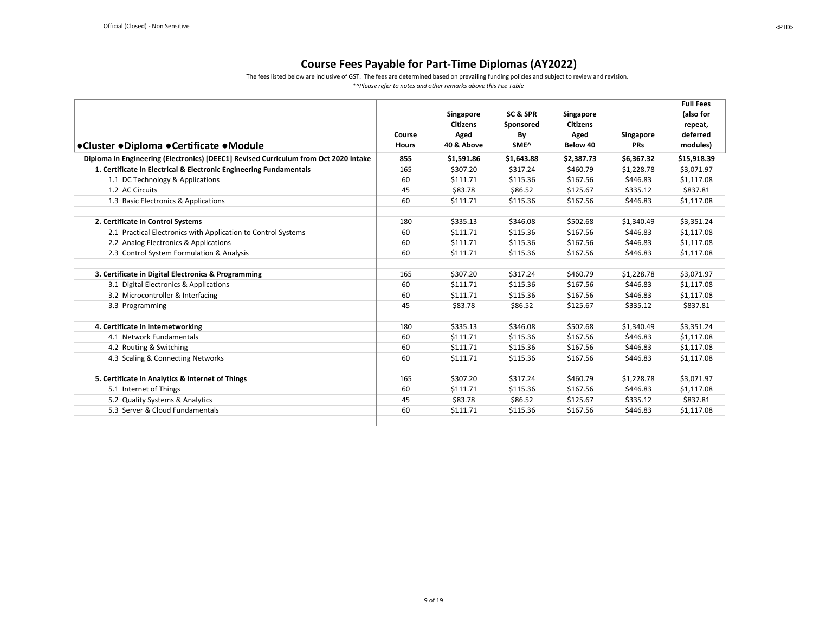The fees listed below are inclusive of GST. The fees are determined based on prevailing funding policies and subject to review and revision.

<span id="page-8-0"></span>

|                                                                                      |              |                 |                  |                 |            | <b>Full Fees</b> |
|--------------------------------------------------------------------------------------|--------------|-----------------|------------------|-----------------|------------|------------------|
|                                                                                      |              | Singapore       | SC & SPR         | Singapore       |            | (also for        |
|                                                                                      |              | <b>Citizens</b> | Sponsored        | <b>Citizens</b> |            | repeat,          |
|                                                                                      | Course       | Aged            | By               | Aged            | Singapore  | deferred         |
| ●Cluster ●Diploma ●Certificate ●Module                                               | <b>Hours</b> | 40 & Above      | SME <sup>^</sup> | Below 40        | <b>PRs</b> | modules)         |
| Diploma in Engineering (Electronics) [DEEC1] Revised Curriculum from Oct 2020 Intake | 855          | \$1,591.86      | \$1,643.88       | \$2,387.73      | \$6,367.32 | \$15,918.39      |
| 1. Certificate in Electrical & Electronic Engineering Fundamentals                   | 165          | \$307.20        | \$317.24         | \$460.79        | \$1,228.78 | \$3,071.97       |
| 1.1 DC Technology & Applications                                                     | 60           | \$111.71        | \$115.36         | \$167.56        | \$446.83   | \$1,117.08       |
| 1.2 AC Circuits                                                                      | 45           | \$83.78         | \$86.52          | \$125.67        | \$335.12   | \$837.81         |
| 1.3 Basic Electronics & Applications                                                 | 60           | \$111.71        | \$115.36         | \$167.56        | \$446.83   | \$1.117.08       |
|                                                                                      |              |                 |                  |                 |            |                  |
| 2. Certificate in Control Systems                                                    | 180          | \$335.13        | \$346.08         | \$502.68        | \$1,340.49 | \$3,351.24       |
| 2.1 Practical Electronics with Application to Control Systems                        | 60           | \$111.71        | \$115.36         | \$167.56        | \$446.83   | \$1,117.08       |
| 2.2 Analog Electronics & Applications                                                | 60           | \$111.71        | \$115.36         | \$167.56        | \$446.83   | \$1,117.08       |
| 2.3 Control System Formulation & Analysis                                            | 60           | \$111.71        | \$115.36         | \$167.56        | \$446.83   | \$1,117.08       |
|                                                                                      |              |                 |                  |                 |            |                  |
| 3. Certificate in Digital Electronics & Programming                                  | 165          | \$307.20        | \$317.24         | \$460.79        | \$1,228.78 | \$3,071.97       |
| 3.1 Digital Electronics & Applications                                               | 60           | \$111.71        | \$115.36         | \$167.56        | \$446.83   | \$1,117.08       |
| 3.2 Microcontroller & Interfacing                                                    | 60           | \$111.71        | \$115.36         | \$167.56        | \$446.83   | \$1,117.08       |
| 3.3 Programming                                                                      | 45           | \$83.78         | \$86.52          | \$125.67        | \$335.12   | \$837.81         |
|                                                                                      |              |                 |                  |                 |            |                  |
| 4. Certificate in Internetworking                                                    | 180          | \$335.13        | \$346.08         | \$502.68        | \$1,340.49 | \$3,351.24       |
| 4.1 Network Fundamentals                                                             | 60           | \$111.71        | \$115.36         | \$167.56        | \$446.83   | \$1,117.08       |
| 4.2 Routing & Switching                                                              | 60           | \$111.71        | \$115.36         | \$167.56        | \$446.83   | \$1,117.08       |
| 4.3 Scaling & Connecting Networks                                                    | 60           | \$111.71        | \$115.36         | \$167.56        | \$446.83   | \$1,117.08       |
|                                                                                      |              |                 |                  |                 |            |                  |
| 5. Certificate in Analytics & Internet of Things                                     | 165          | \$307.20        | \$317.24         | \$460.79        | \$1,228.78 | \$3,071.97       |
| 5.1 Internet of Things                                                               | 60           | \$111.71        | \$115.36         | \$167.56        | \$446.83   | \$1,117.08       |
| 5.2 Quality Systems & Analytics                                                      | 45           | \$83.78         | \$86.52          | \$125.67        | \$335.12   | \$837.81         |
| 5.3 Server & Cloud Fundamentals                                                      | 60           | \$111.71        | \$115.36         | \$167.56        | \$446.83   | \$1,117.08       |
|                                                                                      |              |                 |                  |                 |            |                  |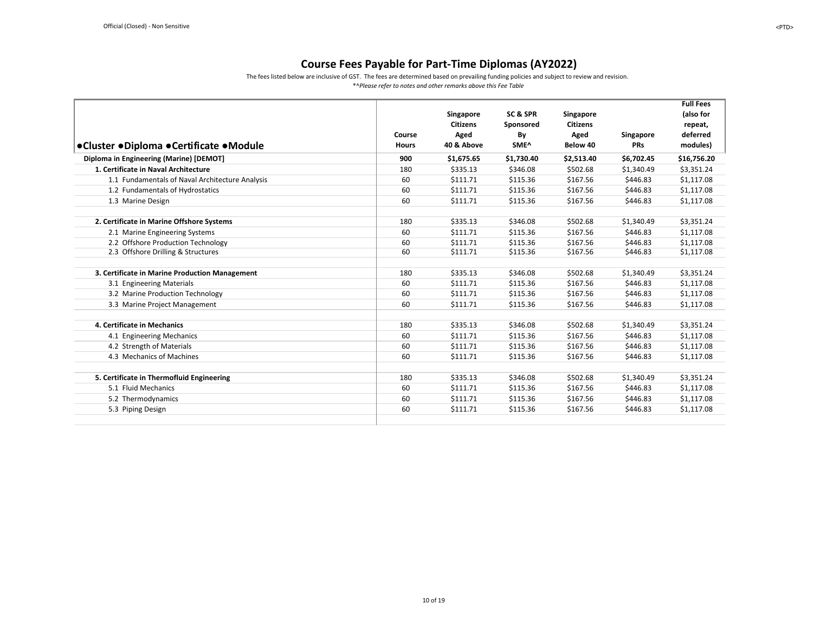The fees listed below are inclusive of GST. The fees are determined based on prevailing funding policies and subject to review and revision.

<span id="page-9-0"></span>

|                                                 |              |                 |            |                 |            | <b>Full Fees</b> |
|-------------------------------------------------|--------------|-----------------|------------|-----------------|------------|------------------|
|                                                 |              | Singapore       | SC & SPR   | Singapore       |            | (also for        |
|                                                 |              | <b>Citizens</b> | Sponsored  | <b>Citizens</b> |            | repeat,          |
|                                                 | Course       | Aged            | By         | Aged            | Singapore  | deferred         |
| ●Cluster ●Diploma ●Certificate ●Module          | <b>Hours</b> | 40 & Above      | SME^       | Below 40        | <b>PRs</b> | modules)         |
| Diploma in Engineering (Marine) [DEMOT]         | 900          | \$1,675.65      | \$1,730.40 | \$2,513.40      | \$6,702.45 | \$16,756.20      |
| 1. Certificate in Naval Architecture            | 180          | \$335.13        | \$346.08   | \$502.68        | \$1,340.49 | \$3,351.24       |
| 1.1 Fundamentals of Naval Architecture Analysis | 60           | \$111.71        | \$115.36   | \$167.56        | \$446.83   | \$1,117.08       |
| 1.2 Fundamentals of Hydrostatics                | 60           | \$111.71        | \$115.36   | \$167.56        | \$446.83   | \$1,117.08       |
| 1.3 Marine Design                               | 60           | \$111.71        | \$115.36   | \$167.56        | \$446.83   | \$1,117.08       |
| 2. Certificate in Marine Offshore Systems       | 180          | \$335.13        | \$346.08   | \$502.68        | \$1,340.49 | \$3,351.24       |
| 2.1 Marine Engineering Systems                  | 60           | \$111.71        | \$115.36   | \$167.56        | \$446.83   | \$1,117.08       |
| 2.2 Offshore Production Technology              | 60           | \$111.71        | \$115.36   | \$167.56        | \$446.83   | \$1,117.08       |
| 2.3 Offshore Drilling & Structures              | 60           | \$111.71        | \$115.36   | \$167.56        | \$446.83   | \$1,117.08       |
| 3. Certificate in Marine Production Management  | 180          | \$335.13        | \$346.08   | \$502.68        | \$1,340.49 | \$3,351.24       |
| 3.1 Engineering Materials                       | 60           | \$111.71        | \$115.36   | \$167.56        | \$446.83   | \$1,117.08       |
| 3.2 Marine Production Technology                | 60           | \$111.71        | \$115.36   | \$167.56        | \$446.83   | \$1,117.08       |
| 3.3 Marine Project Management                   | 60           | \$111.71        | \$115.36   | \$167.56        | \$446.83   | \$1,117.08       |
| 4. Certificate in Mechanics                     | 180          | \$335.13        | \$346.08   | \$502.68        | \$1,340.49 | \$3,351.24       |
| 4.1 Engineering Mechanics                       | 60           | \$111.71        | \$115.36   | \$167.56        | \$446.83   | \$1,117.08       |
| 4.2 Strength of Materials                       | 60           | \$111.71        | \$115.36   | \$167.56        | \$446.83   | \$1,117.08       |
| 4.3 Mechanics of Machines                       | 60           | \$111.71        | \$115.36   | \$167.56        | \$446.83   | \$1,117.08       |
| 5. Certificate in Thermofluid Engineering       | 180          | \$335.13        | \$346.08   | \$502.68        | \$1,340.49 | \$3,351.24       |
| 5.1 Fluid Mechanics                             | 60           | \$111.71        | \$115.36   | \$167.56        | \$446.83   | \$1,117.08       |
| 5.2 Thermodynamics                              | 60           | \$111.71        | \$115.36   | \$167.56        | \$446.83   | \$1,117.08       |
| 5.3 Piping Design                               | 60           | \$111.71        | \$115.36   | \$167.56        | \$446.83   | \$1,117.08       |
|                                                 |              |                 |            |                 |            |                  |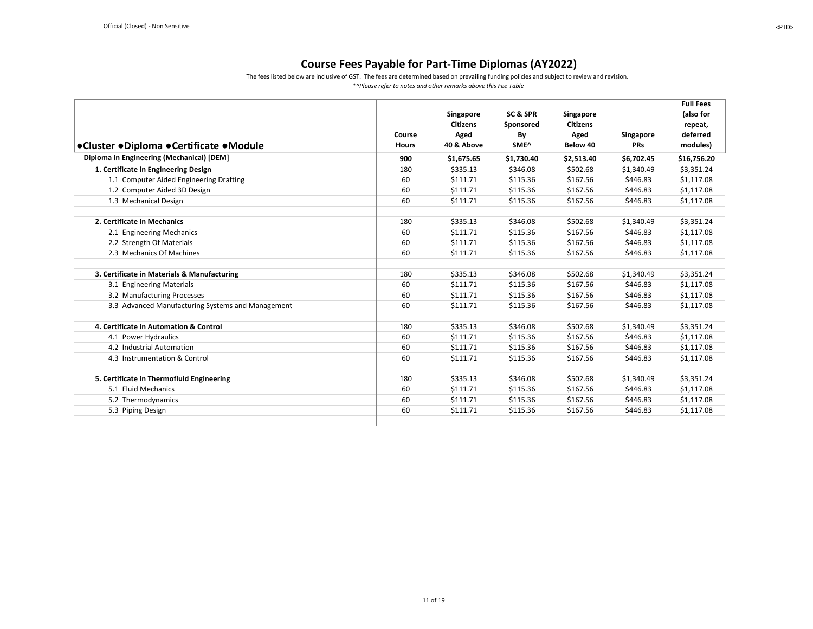The fees listed below are inclusive of GST. The fees are determined based on prevailing funding policies and subject to review and revision.

<span id="page-10-0"></span>

|                                                   |              |                 |            |                 |            | <b>Full Fees</b> |
|---------------------------------------------------|--------------|-----------------|------------|-----------------|------------|------------------|
|                                                   |              | Singapore       | SC&SPR     | Singapore       |            | (also for        |
|                                                   |              | <b>Citizens</b> | Sponsored  | <b>Citizens</b> |            | repeat,          |
|                                                   | Course       | Aged            | By         | Aged            | Singapore  | deferred         |
| ●Cluster ●Diploma ●Certificate ●Module            | <b>Hours</b> | 40 & Above      | SME^       | Below 40        | <b>PRs</b> | modules)         |
| Diploma in Engineering (Mechanical) [DEM]         | 900          | \$1,675.65      | \$1,730.40 | \$2,513.40      | \$6,702.45 | \$16,756.20      |
| 1. Certificate in Engineering Design              | 180          | \$335.13        | \$346.08   | \$502.68        | \$1,340.49 | \$3,351.24       |
| 1.1 Computer Aided Engineering Drafting           | 60           | \$111.71        | \$115.36   | \$167.56        | \$446.83   | \$1,117.08       |
| 1.2 Computer Aided 3D Design                      | 60           | \$111.71        | \$115.36   | \$167.56        | \$446.83   | \$1,117.08       |
| 1.3 Mechanical Design                             | 60           | \$111.71        | \$115.36   | \$167.56        | \$446.83   | \$1,117.08       |
|                                                   |              |                 |            |                 |            |                  |
| 2. Certificate in Mechanics                       | 180          | \$335.13        | \$346.08   | \$502.68        | \$1,340.49 | \$3,351.24       |
| 2.1 Engineering Mechanics                         | 60           | \$111.71        | \$115.36   | \$167.56        | \$446.83   | \$1,117.08       |
| 2.2 Strength Of Materials                         | 60           | \$111.71        | \$115.36   | \$167.56        | \$446.83   | \$1,117.08       |
| 2.3 Mechanics Of Machines                         | 60           | \$111.71        | \$115.36   | \$167.56        | \$446.83   | \$1,117.08       |
| 3. Certificate in Materials & Manufacturing       | 180          | \$335.13        | \$346.08   | \$502.68        | \$1,340.49 | \$3,351.24       |
| 3.1 Engineering Materials                         | 60           | \$111.71        | \$115.36   | \$167.56        | \$446.83   | \$1,117.08       |
| 3.2 Manufacturing Processes                       | 60           | \$111.71        | \$115.36   | \$167.56        | \$446.83   | \$1,117.08       |
| 3.3 Advanced Manufacturing Systems and Management | 60           | \$111.71        | \$115.36   | \$167.56        | \$446.83   | \$1,117.08       |
|                                                   |              |                 |            |                 |            |                  |
| 4. Certificate in Automation & Control            | 180          | \$335.13        | \$346.08   | \$502.68        | \$1,340.49 | \$3,351.24       |
| 4.1 Power Hydraulics                              | 60           | \$111.71        | \$115.36   | \$167.56        | \$446.83   | \$1,117.08       |
| 4.2 Industrial Automation                         | 60           | \$111.71        | \$115.36   | \$167.56        | \$446.83   | \$1,117.08       |
| 4.3 Instrumentation & Control                     | 60           | \$111.71        | \$115.36   | \$167.56        | \$446.83   | \$1,117.08       |
| 5. Certificate in Thermofluid Engineering         | 180          | \$335.13        | \$346.08   | \$502.68        | \$1,340.49 | \$3,351.24       |
| 5.1 Fluid Mechanics                               | 60           | \$111.71        | \$115.36   | \$167.56        | \$446.83   |                  |
|                                                   |              |                 |            |                 |            | \$1,117.08       |
| 5.2 Thermodynamics                                | 60           | \$111.71        | \$115.36   | \$167.56        | \$446.83   | \$1,117.08       |
| 5.3 Piping Design                                 | 60           | \$111.71        | \$115.36   | \$167.56        | \$446.83   | \$1,117.08       |
|                                                   |              |                 |            |                 |            |                  |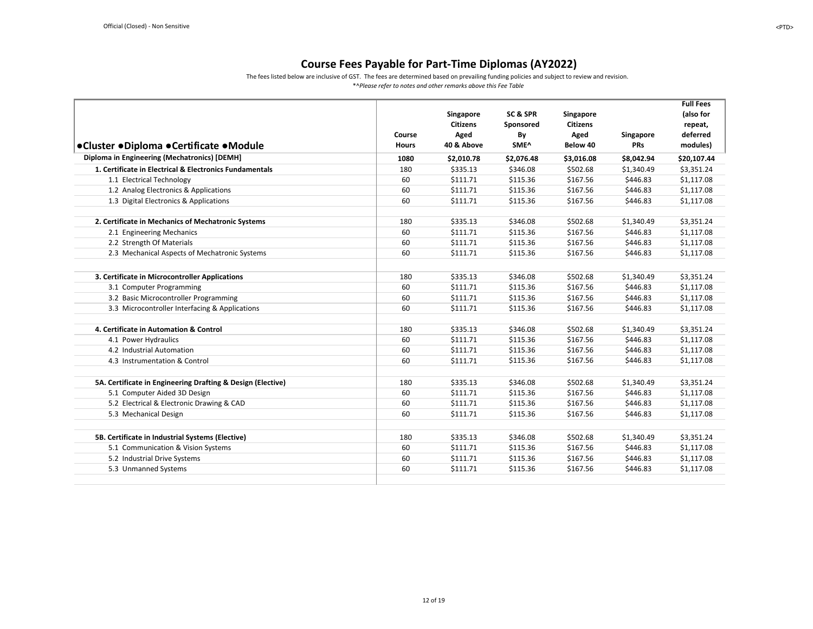The fees listed below are inclusive of GST. The fees are determined based on prevailing funding policies and subject to review and revision.

<span id="page-11-1"></span><span id="page-11-0"></span>

| ●Cluster ●Diploma ●Certificate ●Module                      | Course<br><b>Hours</b> | Singapore<br><b>Citizens</b><br>Aged<br>40 & Above | SC & SPR<br>Sponsored<br>By<br>SME^ | Singapore<br><b>Citizens</b><br>Aged<br>Below 40 | Singapore<br><b>PRs</b> | <b>Full Fees</b><br>(also for<br>repeat,<br>deferred<br>modules) |
|-------------------------------------------------------------|------------------------|----------------------------------------------------|-------------------------------------|--------------------------------------------------|-------------------------|------------------------------------------------------------------|
| Diploma in Engineering (Mechatronics) [DEMH]                | 1080                   | \$2,010.78                                         | \$2,076.48                          | \$3,016.08                                       | \$8,042.94              | \$20,107.44                                                      |
| 1. Certificate in Electrical & Electronics Fundamentals     | 180                    | \$335.13                                           | \$346.08                            | \$502.68                                         | \$1,340.49              | \$3,351.24                                                       |
| 1.1 Electrical Technology                                   | 60                     | \$111.71                                           | \$115.36                            | \$167.56                                         | \$446.83                | \$1,117.08                                                       |
| 1.2 Analog Electronics & Applications                       | 60                     | \$111.71                                           | \$115.36                            | \$167.56                                         | \$446.83                | \$1,117.08                                                       |
| 1.3 Digital Electronics & Applications                      | 60                     | \$111.71                                           | \$115.36                            | \$167.56                                         | \$446.83                | \$1,117.08                                                       |
| 2. Certificate in Mechanics of Mechatronic Systems          | 180                    | \$335.13                                           | \$346.08                            | \$502.68                                         | \$1,340.49              | \$3,351.24                                                       |
| 2.1 Engineering Mechanics                                   | 60                     | \$111.71                                           | \$115.36                            | \$167.56                                         | \$446.83                | \$1,117.08                                                       |
| 2.2 Strength Of Materials                                   | 60                     | \$111.71                                           | \$115.36                            | \$167.56                                         | \$446.83                | \$1,117.08                                                       |
| 2.3 Mechanical Aspects of Mechatronic Systems               | 60                     | \$111.71                                           | \$115.36                            | \$167.56                                         | \$446.83                | \$1,117.08                                                       |
| 3. Certificate in Microcontroller Applications              | 180                    | \$335.13                                           | \$346.08                            | \$502.68                                         | \$1,340.49              | \$3,351.24                                                       |
| 3.1 Computer Programming                                    | 60                     | \$111.71                                           | \$115.36                            | \$167.56                                         | \$446.83                | \$1,117.08                                                       |
| 3.2 Basic Microcontroller Programming                       | 60                     | \$111.71                                           | \$115.36                            | \$167.56                                         | \$446.83                | \$1,117.08                                                       |
| 3.3 Microcontroller Interfacing & Applications              | 60                     | \$111.71                                           | \$115.36                            | \$167.56                                         | \$446.83                | \$1,117.08                                                       |
| 4. Certificate in Automation & Control                      | 180                    | \$335.13                                           | \$346.08                            | \$502.68                                         | \$1,340.49              | \$3,351.24                                                       |
| 4.1 Power Hydraulics                                        | 60                     | \$111.71                                           | \$115.36                            | \$167.56                                         | \$446.83                | \$1,117.08                                                       |
| 4.2 Industrial Automation                                   | 60                     | \$111.71                                           | \$115.36                            | \$167.56                                         | \$446.83                | \$1,117.08                                                       |
| 4.3 Instrumentation & Control                               | 60                     | \$111.71                                           | \$115.36                            | \$167.56                                         | \$446.83                | \$1,117.08                                                       |
| 5A. Certificate in Engineering Drafting & Design (Elective) | 180                    | \$335.13                                           | \$346.08                            | \$502.68                                         | \$1,340.49              | \$3,351.24                                                       |
| 5.1 Computer Aided 3D Design                                | 60                     | \$111.71                                           | \$115.36                            | \$167.56                                         | \$446.83                | \$1,117.08                                                       |
| 5.2 Electrical & Electronic Drawing & CAD                   | 60                     | \$111.71                                           | \$115.36                            | \$167.56                                         | \$446.83                | \$1,117.08                                                       |
| 5.3 Mechanical Design                                       | 60                     | \$111.71                                           | \$115.36                            | \$167.56                                         | \$446.83                | \$1,117.08                                                       |
| 5B. Certificate in Industrial Systems (Elective)            | 180                    | \$335.13                                           | \$346.08                            | \$502.68                                         | \$1,340.49              | \$3,351.24                                                       |
| 5.1 Communication & Vision Systems                          | 60                     | \$111.71                                           | \$115.36                            | \$167.56                                         | \$446.83                | \$1,117.08                                                       |
| 5.2 Industrial Drive Systems                                | 60                     | \$111.71                                           | \$115.36                            | \$167.56                                         | \$446.83                | \$1,117.08                                                       |
| 5.3 Unmanned Systems                                        | 60                     | \$111.71                                           | \$115.36                            | \$167.56                                         | \$446.83                | \$1,117.08                                                       |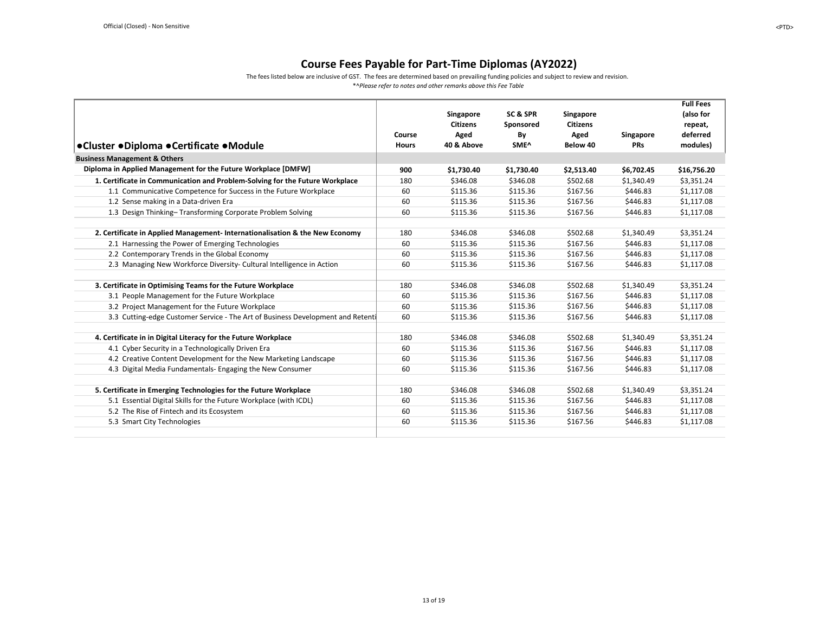The fees listed below are inclusive of GST. The fees are determined based on prevailing funding policies and subject to review and revision.

<span id="page-12-0"></span>

|                                                                                 |              |                 |            |                 |                  | <b>Full Fees</b> |
|---------------------------------------------------------------------------------|--------------|-----------------|------------|-----------------|------------------|------------------|
|                                                                                 |              | Singapore       | SC & SPR   | Singapore       |                  | (also for        |
|                                                                                 |              | <b>Citizens</b> | Sponsored  | <b>Citizens</b> |                  | repeat,          |
|                                                                                 | Course       | Aged            | By         | Aged            | <b>Singapore</b> | deferred         |
| ●Cluster ●Diploma ●Certificate ●Module                                          | <b>Hours</b> | 40 & Above      | SME^       | Below 40        | <b>PRs</b>       | modules)         |
| <b>Business Management &amp; Others</b>                                         |              |                 |            |                 |                  |                  |
| Diploma in Applied Management for the Future Workplace [DMFW]                   | 900          | \$1,730.40      | \$1,730.40 | \$2,513.40      | \$6,702.45       | \$16,756.20      |
| 1. Certificate in Communication and Problem-Solving for the Future Workplace    | 180          | \$346.08        | \$346.08   | \$502.68        | \$1,340.49       | \$3,351.24       |
| 1.1 Communicative Competence for Success in the Future Workplace                | 60           | \$115.36        | \$115.36   | \$167.56        | \$446.83         | \$1,117.08       |
| 1.2 Sense making in a Data-driven Era                                           | 60           | \$115.36        | \$115.36   | \$167.56        | \$446.83         | \$1,117.08       |
| 1.3 Design Thinking-Transforming Corporate Problem Solving                      | 60           | \$115.36        | \$115.36   | \$167.56        | \$446.83         | \$1,117.08       |
|                                                                                 |              |                 |            |                 |                  |                  |
| 2. Certificate in Applied Management- Internationalisation & the New Economy    | 180          | \$346.08        | \$346.08   | \$502.68        | \$1.340.49       | \$3,351.24       |
| 2.1 Harnessing the Power of Emerging Technologies                               | 60           | \$115.36        | \$115.36   | \$167.56        | \$446.83         | \$1,117.08       |
| 2.2 Contemporary Trends in the Global Economy                                   | 60           | \$115.36        | \$115.36   | \$167.56        | \$446.83         | \$1,117.08       |
| 2.3 Managing New Workforce Diversity- Cultural Intelligence in Action           | 60           | \$115.36        | \$115.36   | \$167.56        | \$446.83         | \$1,117.08       |
|                                                                                 |              |                 |            |                 |                  |                  |
| 3. Certificate in Optimising Teams for the Future Workplace                     | 180          | \$346.08        | \$346.08   | \$502.68        | \$1,340.49       | \$3,351.24       |
| 3.1 People Management for the Future Workplace                                  | 60           | \$115.36        | \$115.36   | \$167.56        | \$446.83         | \$1,117.08       |
| 3.2 Project Management for the Future Workplace                                 | 60           | \$115.36        | \$115.36   | \$167.56        | \$446.83         | \$1,117.08       |
| 3.3 Cutting-edge Customer Service - The Art of Business Development and Retenti | 60           | \$115.36        | \$115.36   | \$167.56        | \$446.83         | \$1,117.08       |
|                                                                                 |              |                 |            |                 |                  |                  |
| 4. Certificate in in Digital Literacy for the Future Workplace                  | 180          | \$346.08        | \$346.08   | \$502.68        | \$1,340.49       | \$3,351.24       |
| 4.1 Cyber Security in a Technologically Driven Era                              | 60           | \$115.36        | \$115.36   | \$167.56        | \$446.83         | \$1,117.08       |
| 4.2 Creative Content Development for the New Marketing Landscape                | 60           | \$115.36        | \$115.36   | \$167.56        | \$446.83         | \$1,117.08       |
| 4.3 Digital Media Fundamentals- Engaging the New Consumer                       | 60           | \$115.36        | \$115.36   | \$167.56        | \$446.83         | \$1,117.08       |
|                                                                                 |              |                 |            |                 |                  |                  |
| 5. Certificate in Emerging Technologies for the Future Workplace                | 180          | \$346.08        | \$346.08   | \$502.68        | \$1,340.49       | \$3,351.24       |
| 5.1 Essential Digital Skills for the Future Workplace (with ICDL)               | 60           | \$115.36        | \$115.36   | \$167.56        | \$446.83         | \$1,117.08       |
| 5.2 The Rise of Fintech and its Ecosystem                                       | 60           | \$115.36        | \$115.36   | \$167.56        | \$446.83         | \$1,117.08       |
| 5.3 Smart City Technologies                                                     | 60           | \$115.36        | \$115.36   | \$167.56        | \$446.83         | \$1,117.08       |
|                                                                                 |              |                 |            |                 |                  |                  |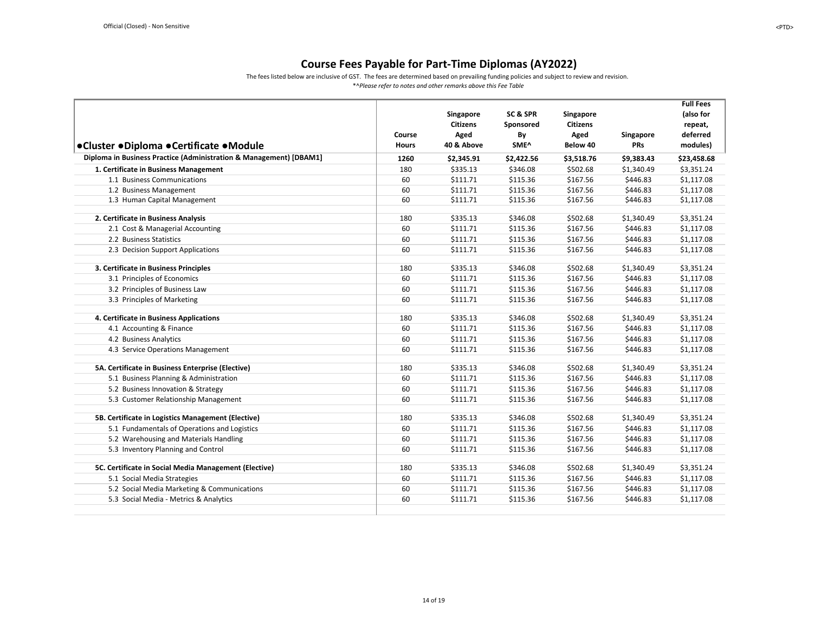The fees listed below are inclusive of GST. The fees are determined based on prevailing funding policies and subject to review and revision.

<span id="page-13-0"></span>

| ●Cluster ●Diploma ●Certificate ●Module                             | Course<br><b>Hours</b> | Singapore<br><b>Citizens</b><br>Aged<br>40 & Above | <b>SC &amp; SPR</b><br>Sponsored<br>By<br>SME^ | Singapore<br><b>Citizens</b><br>Aged<br>Below 40 | Singapore<br><b>PRs</b> | <b>Full Fees</b><br>(also for<br>repeat,<br>deferred<br>modules) |
|--------------------------------------------------------------------|------------------------|----------------------------------------------------|------------------------------------------------|--------------------------------------------------|-------------------------|------------------------------------------------------------------|
| Diploma in Business Practice (Administration & Management) [DBAM1] | 1260                   | \$2,345.91                                         | \$2,422.56                                     | \$3,518.76                                       | \$9,383.43              | \$23,458.68                                                      |
| 1. Certificate in Business Management                              | 180                    | \$335.13                                           | \$346.08                                       | \$502.68                                         | \$1,340.49              | \$3,351.24                                                       |
| 1.1 Business Communications                                        | 60                     | \$111.71                                           | \$115.36                                       | \$167.56                                         | \$446.83                | \$1,117.08                                                       |
| 1.2 Business Management                                            | 60                     | \$111.71                                           | \$115.36                                       | \$167.56                                         | \$446.83                | \$1,117.08                                                       |
| 1.3 Human Capital Management                                       | 60                     | \$111.71                                           | \$115.36                                       | \$167.56                                         | \$446.83                | \$1,117.08                                                       |
| 2. Certificate in Business Analysis                                | 180                    | \$335.13                                           | \$346.08                                       | \$502.68                                         | \$1,340.49              | \$3,351.24                                                       |
| 2.1 Cost & Managerial Accounting                                   | 60                     | \$111.71                                           | \$115.36                                       | \$167.56                                         | \$446.83                | \$1,117.08                                                       |
| 2.2 Business Statistics                                            | 60                     | \$111.71                                           | \$115.36                                       | \$167.56                                         | \$446.83                | \$1,117.08                                                       |
| 2.3 Decision Support Applications                                  | 60                     | \$111.71                                           | \$115.36                                       | \$167.56                                         | \$446.83                | \$1,117.08                                                       |
| 3. Certificate in Business Principles                              | 180                    | \$335.13                                           | \$346.08                                       | \$502.68                                         | \$1,340.49              | \$3,351.24                                                       |
| 3.1 Principles of Economics                                        | 60                     | \$111.71                                           | \$115.36                                       | \$167.56                                         | \$446.83                | \$1,117.08                                                       |
| 3.2 Principles of Business Law                                     | 60                     | \$111.71                                           | \$115.36                                       | \$167.56                                         | \$446.83                | \$1,117.08                                                       |
| 3.3 Principles of Marketing                                        | 60                     | \$111.71                                           | \$115.36                                       | \$167.56                                         | \$446.83                | \$1,117.08                                                       |
| 4. Certificate in Business Applications                            | 180                    | \$335.13                                           | \$346.08                                       | \$502.68                                         | \$1,340.49              | \$3,351.24                                                       |
| 4.1 Accounting & Finance                                           | 60                     | \$111.71                                           | \$115.36                                       | \$167.56                                         | \$446.83                | \$1,117.08                                                       |
| 4.2 Business Analytics                                             | 60                     | \$111.71                                           | \$115.36                                       | \$167.56                                         | \$446.83                | \$1,117.08                                                       |
| 4.3 Service Operations Management                                  | 60                     | \$111.71                                           | \$115.36                                       | \$167.56                                         | \$446.83                | \$1,117.08                                                       |
| 5A. Certificate in Business Enterprise (Elective)                  | 180                    | \$335.13                                           | \$346.08                                       | \$502.68                                         | \$1,340.49              | \$3,351.24                                                       |
| 5.1 Business Planning & Administration                             | 60                     | \$111.71                                           | \$115.36                                       | \$167.56                                         | \$446.83                | \$1,117.08                                                       |
| 5.2 Business Innovation & Strategy                                 | 60                     | \$111.71                                           | \$115.36                                       | \$167.56                                         | \$446.83                | \$1,117.08                                                       |
| 5.3 Customer Relationship Management                               | 60                     | \$111.71                                           | \$115.36                                       | \$167.56                                         | \$446.83                | \$1,117.08                                                       |
| 5B. Certificate in Logistics Management (Elective)                 | 180                    | \$335.13                                           | \$346.08                                       | \$502.68                                         | \$1,340.49              | \$3,351.24                                                       |
| 5.1 Fundamentals of Operations and Logistics                       | 60                     | \$111.71                                           | \$115.36                                       | \$167.56                                         | \$446.83                | \$1,117.08                                                       |
| 5.2 Warehousing and Materials Handling                             | 60                     | \$111.71                                           | \$115.36                                       | \$167.56                                         | \$446.83                | \$1,117.08                                                       |
| 5.3 Inventory Planning and Control                                 | 60                     | \$111.71                                           | \$115.36                                       | \$167.56                                         | \$446.83                | \$1,117.08                                                       |
| 5C. Certificate in Social Media Management (Elective)              | 180                    | \$335.13                                           | \$346.08                                       | \$502.68                                         | \$1,340.49              | \$3,351.24                                                       |
| 5.1 Social Media Strategies                                        | 60                     | \$111.71                                           | \$115.36                                       | \$167.56                                         | \$446.83                | \$1,117.08                                                       |
| 5.2 Social Media Marketing & Communications                        | 60                     | \$111.71                                           | \$115.36                                       | \$167.56                                         | \$446.83                | \$1,117.08                                                       |
| 5.3 Social Media - Metrics & Analytics                             | 60                     | \$111.71                                           | \$115.36                                       | \$167.56                                         | \$446.83                | \$1,117.08                                                       |
|                                                                    |                        |                                                    |                                                |                                                  |                         |                                                                  |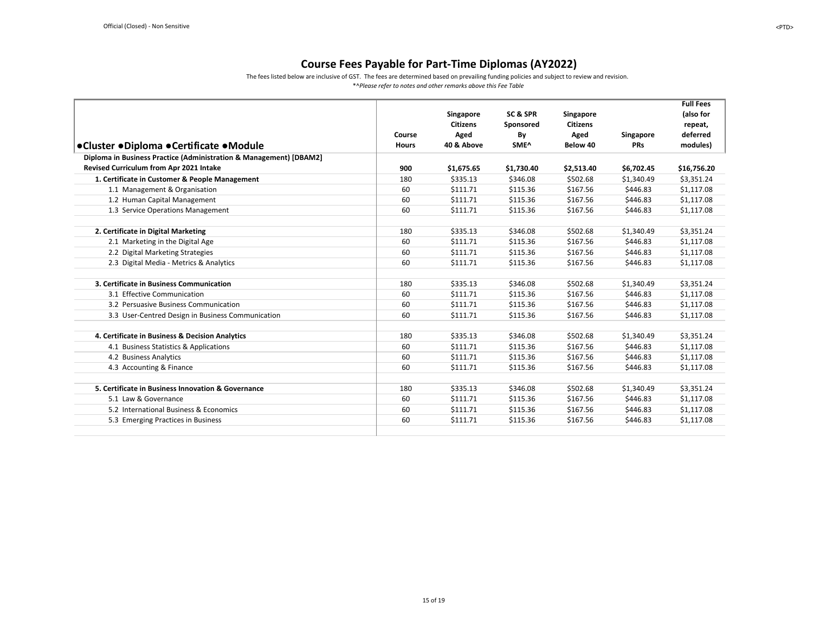The fees listed below are inclusive of GST. The fees are determined based on prevailing funding policies and subject to review and revision.

<span id="page-14-0"></span>

|                                                                    |              |                 |                  |                  |            | <b>Full Fees</b> |
|--------------------------------------------------------------------|--------------|-----------------|------------------|------------------|------------|------------------|
|                                                                    |              | Singapore       | SC & SPR         | <b>Singapore</b> |            | (also for        |
|                                                                    |              | <b>Citizens</b> | Sponsored        | <b>Citizens</b>  |            | repeat,          |
|                                                                    | Course       | Aged            | By               | Aged             | Singapore  | deferred         |
| ●Cluster ●Diploma ●Certificate ●Module                             | <b>Hours</b> | 40 & Above      | SME <sup>^</sup> | Below 40         | <b>PRs</b> | modules)         |
| Diploma in Business Practice (Administration & Management) [DBAM2] |              |                 |                  |                  |            |                  |
| Revised Curriculum from Apr 2021 Intake                            | 900          | \$1,675.65      | \$1,730.40       | \$2,513.40       | \$6,702.45 | \$16,756.20      |
| 1. Certificate in Customer & People Management                     | 180          | \$335.13        | \$346.08         | \$502.68         | \$1,340.49 | \$3,351.24       |
| 1.1 Management & Organisation                                      | 60           | \$111.71        | \$115.36         | \$167.56         | \$446.83   | \$1,117.08       |
| 1.2 Human Capital Management                                       | 60           | \$111.71        | \$115.36         | \$167.56         | \$446.83   | \$1,117.08       |
| 1.3 Service Operations Management                                  | 60           | \$111.71        | \$115.36         | \$167.56         | \$446.83   | \$1,117.08       |
|                                                                    |              |                 |                  |                  |            |                  |
| 2. Certificate in Digital Marketing                                | 180          | \$335.13        | \$346.08         | \$502.68         | \$1,340.49 | \$3,351.24       |
| 2.1 Marketing in the Digital Age                                   | 60           | \$111.71        | \$115.36         | \$167.56         | \$446.83   | \$1,117.08       |
| 2.2 Digital Marketing Strategies                                   | 60           | \$111.71        | \$115.36         | \$167.56         | \$446.83   | \$1,117.08       |
| 2.3 Digital Media - Metrics & Analytics                            | 60           | \$111.71        | \$115.36         | \$167.56         | \$446.83   | \$1,117.08       |
|                                                                    |              |                 |                  |                  |            |                  |
| 3. Certificate in Business Communication                           | 180          | \$335.13        | \$346.08         | \$502.68         | \$1,340.49 | \$3,351.24       |
| 3.1 Effective Communication                                        | 60           | \$111.71        | \$115.36         | \$167.56         | \$446.83   | \$1,117.08       |
| 3.2 Persuasive Business Communication                              | 60           | \$111.71        | \$115.36         | \$167.56         | \$446.83   | \$1,117.08       |
| 3.3 User-Centred Design in Business Communication                  | 60           | \$111.71        | \$115.36         | \$167.56         | \$446.83   | \$1,117.08       |
|                                                                    |              |                 |                  |                  |            |                  |
| 4. Certificate in Business & Decision Analytics                    | 180          | \$335.13        | \$346.08         | \$502.68         | \$1,340.49 | \$3,351.24       |
| 4.1 Business Statistics & Applications                             | 60           | \$111.71        | \$115.36         | \$167.56         | \$446.83   | \$1,117.08       |
| 4.2 Business Analytics                                             | 60           | \$111.71        | \$115.36         | \$167.56         | \$446.83   | \$1,117.08       |
| 4.3 Accounting & Finance                                           | 60           | \$111.71        | \$115.36         | \$167.56         | \$446.83   | \$1,117.08       |
|                                                                    |              |                 |                  |                  |            |                  |
| 5. Certificate in Business Innovation & Governance                 | 180          | \$335.13        | \$346.08         | \$502.68         | \$1,340.49 | \$3,351.24       |
| 5.1 Law & Governance                                               | 60           | \$111.71        | \$115.36         | \$167.56         | \$446.83   | \$1,117.08       |
| 5.2 International Business & Economics                             | 60           | \$111.71        | \$115.36         | \$167.56         | \$446.83   | \$1,117.08       |
| 5.3 Emerging Practices in Business                                 | 60           | \$111.71        | \$115.36         | \$167.56         | \$446.83   | \$1,117.08       |
|                                                                    |              |                 |                  |                  |            |                  |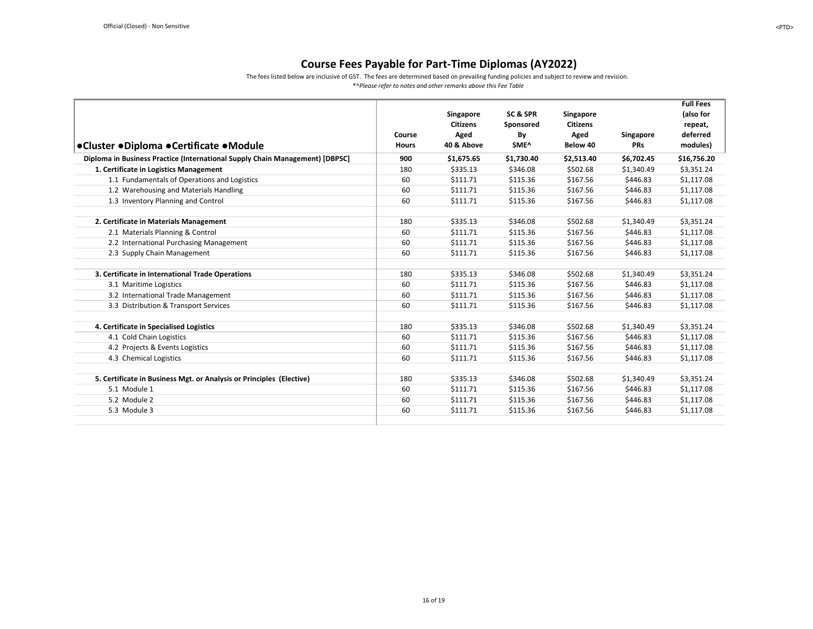The fees listed below are inclusive of GST. The fees are determined based on prevailing funding policies and subject to review and revision.

<span id="page-15-0"></span>

|                                                                              |              |                 |                  |                 |            | <b>Full Fees</b> |
|------------------------------------------------------------------------------|--------------|-----------------|------------------|-----------------|------------|------------------|
|                                                                              |              | Singapore       | SC&SPR           | Singapore       |            | (also for        |
|                                                                              |              | <b>Citizens</b> | Sponsored        | <b>Citizens</b> |            | repeat,          |
|                                                                              | Course       | Aged            | By               | Aged            | Singapore  | deferred         |
| ●Cluster ●Diploma ●Certificate ●Module                                       | <b>Hours</b> | 40 & Above      | SME <sup>^</sup> | Below 40        | <b>PRs</b> | modules)         |
| Diploma in Business Practice (International Supply Chain Management) [DBPSC] | 900          | \$1,675.65      | \$1,730.40       | \$2,513.40      | \$6,702.45 | \$16,756.20      |
| 1. Certificate in Logistics Management                                       | 180          | \$335.13        | \$346.08         | \$502.68        | \$1,340.49 | \$3,351.24       |
| 1.1 Fundamentals of Operations and Logistics                                 | 60           | \$111.71        | \$115.36         | \$167.56        | \$446.83   | \$1,117.08       |
| 1.2 Warehousing and Materials Handling                                       | 60           | \$111.71        | \$115.36         | \$167.56        | \$446.83   | \$1,117.08       |
| 1.3 Inventory Planning and Control                                           | 60           | \$111.71        | \$115.36         | \$167.56        | \$446.83   | \$1,117.08       |
| 2. Certificate in Materials Management                                       | 180          | \$335.13        | \$346.08         | \$502.68        | \$1,340.49 | \$3,351.24       |
| 2.1 Materials Planning & Control                                             | 60           | \$111.71        | \$115.36         | \$167.56        | \$446.83   | \$1,117.08       |
| 2.2 International Purchasing Management                                      | 60           | \$111.71        | \$115.36         | \$167.56        | \$446.83   | \$1,117.08       |
| 2.3 Supply Chain Management                                                  | 60           | \$111.71        | \$115.36         | \$167.56        | \$446.83   | \$1,117.08       |
|                                                                              |              |                 |                  |                 |            |                  |
| 3. Certificate in International Trade Operations                             | 180          | \$335.13        | \$346.08         | \$502.68        | \$1,340.49 | \$3,351.24       |
| 3.1 Maritime Logistics                                                       | 60           | \$111.71        | \$115.36         | \$167.56        | \$446.83   | \$1,117.08       |
| 3.2 International Trade Management                                           | 60           | \$111.71        | \$115.36         | \$167.56        | \$446.83   | \$1,117.08       |
| 3.3 Distribution & Transport Services                                        | 60           | \$111.71        | \$115.36         | \$167.56        | \$446.83   | \$1,117.08       |
|                                                                              |              |                 |                  |                 |            |                  |
| 4. Certificate in Specialised Logistics                                      | 180          | \$335.13        | \$346.08         | \$502.68        | \$1,340.49 | \$3,351.24       |
| 4.1 Cold Chain Logistics                                                     | 60           | \$111.71        | \$115.36         | \$167.56        | \$446.83   | \$1,117.08       |
| 4.2 Projects & Events Logistics                                              | 60           | \$111.71        | \$115.36         | \$167.56        | \$446.83   | \$1,117.08       |
| 4.3 Chemical Logistics                                                       | 60           | \$111.71        | \$115.36         | \$167.56        | \$446.83   | \$1,117.08       |
|                                                                              |              |                 |                  |                 |            |                  |
| 5. Certificate in Business Mgt. or Analysis or Principles (Elective)         | 180          | \$335.13        | \$346.08         | \$502.68        | \$1,340.49 | \$3,351.24       |
| 5.1 Module 1                                                                 | 60           | \$111.71        | \$115.36         | \$167.56        | \$446.83   | \$1,117.08       |
| 5.2 Module 2                                                                 | 60           | \$111.71        | \$115.36         | \$167.56        | \$446.83   | \$1,117.08       |
| 5.3 Module 3                                                                 | 60           | \$111.71        | \$115.36         | \$167.56        | \$446.83   | \$1,117.08       |
|                                                                              |              |                 |                  |                 |            |                  |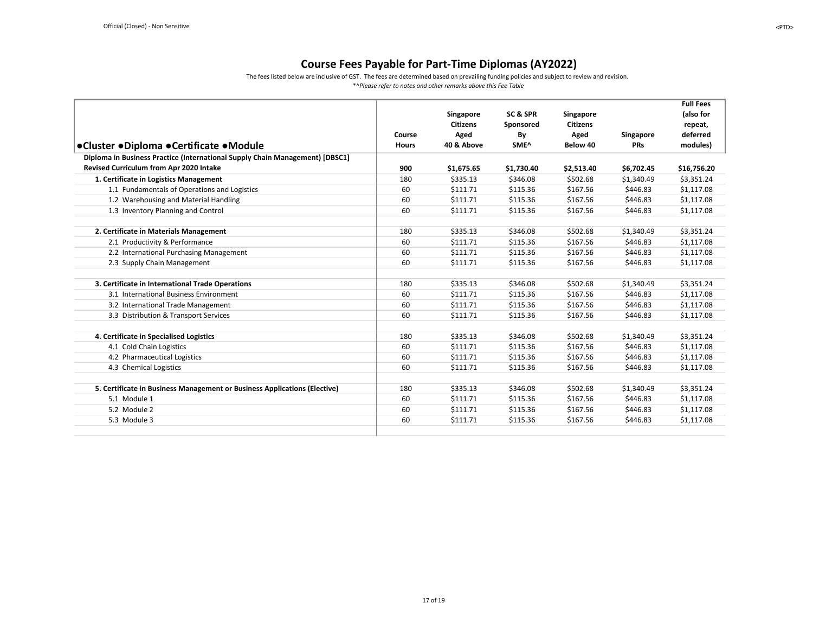The fees listed below are inclusive of GST. The fees are determined based on prevailing funding policies and subject to review and revision.

<span id="page-16-0"></span>

|                                                                              |              |                 |                  |                 |            | <b>Full Fees</b> |
|------------------------------------------------------------------------------|--------------|-----------------|------------------|-----------------|------------|------------------|
|                                                                              |              | Singapore       | SC & SPR         | Singapore       |            | (also for        |
|                                                                              |              | <b>Citizens</b> | Sponsored        | <b>Citizens</b> |            | repeat,          |
|                                                                              | Course       | Aged            | By               | Aged            | Singapore  | deferred         |
| ●Cluster ●Diploma ●Certificate ●Module                                       | <b>Hours</b> | 40 & Above      | SME <sup>^</sup> | Below 40        | <b>PRs</b> | modules)         |
| Diploma in Business Practice (International Supply Chain Management) [DBSC1] |              |                 |                  |                 |            |                  |
| Revised Curriculum from Apr 2020 Intake                                      | 900          | \$1,675.65      | \$1,730.40       | \$2,513.40      | \$6,702.45 | \$16,756.20      |
| 1. Certificate in Logistics Management                                       | 180          | \$335.13        | \$346.08         | \$502.68        | \$1,340.49 | \$3,351.24       |
| 1.1 Fundamentals of Operations and Logistics                                 | 60           | \$111.71        | \$115.36         | \$167.56        | \$446.83   | \$1,117.08       |
| 1.2 Warehousing and Material Handling                                        | 60           | \$111.71        | \$115.36         | \$167.56        | \$446.83   | \$1,117.08       |
| 1.3 Inventory Planning and Control                                           | 60           | \$111.71        | \$115.36         | \$167.56        | \$446.83   | \$1,117.08       |
|                                                                              |              |                 |                  |                 |            |                  |
| 2. Certificate in Materials Management                                       | 180          | \$335.13        | \$346.08         | \$502.68        | \$1,340.49 | \$3,351.24       |
| 2.1 Productivity & Performance                                               | 60           | \$111.71        | \$115.36         | \$167.56        | \$446.83   | \$1,117.08       |
| 2.2 International Purchasing Management                                      | 60           | \$111.71        | \$115.36         | \$167.56        | \$446.83   | \$1,117.08       |
| 2.3 Supply Chain Management                                                  | 60           | \$111.71        | \$115.36         | \$167.56        | \$446.83   | \$1,117.08       |
|                                                                              |              |                 |                  |                 |            |                  |
| 3. Certificate in International Trade Operations                             | 180          | \$335.13        | \$346.08         | \$502.68        | \$1,340.49 | \$3,351.24       |
| 3.1 International Business Environment                                       | 60           | \$111.71        | \$115.36         | \$167.56        | \$446.83   | \$1,117.08       |
| 3.2 International Trade Management                                           | 60           | \$111.71        | \$115.36         | \$167.56        | \$446.83   | \$1,117.08       |
| 3.3 Distribution & Transport Services                                        | 60           | \$111.71        | \$115.36         | \$167.56        | \$446.83   | \$1,117.08       |
|                                                                              |              |                 |                  |                 |            |                  |
| 4. Certificate in Specialised Logistics                                      | 180          | \$335.13        | \$346.08         | \$502.68        | \$1,340.49 | \$3,351.24       |
| 4.1 Cold Chain Logistics                                                     | 60           | \$111.71        | \$115.36         | \$167.56        | \$446.83   | \$1,117.08       |
| 4.2 Pharmaceutical Logistics                                                 | 60           | \$111.71        | \$115.36         | \$167.56        | \$446.83   | \$1,117.08       |
| 4.3 Chemical Logistics                                                       | 60           | \$111.71        | \$115.36         | \$167.56        | \$446.83   | \$1,117.08       |
|                                                                              |              |                 |                  |                 |            |                  |
| 5. Certificate in Business Management or Business Applications (Elective)    | 180          | \$335.13        | \$346.08         | \$502.68        | \$1,340.49 | \$3,351.24       |
| 5.1 Module 1                                                                 | 60           | \$111.71        | \$115.36         | \$167.56        | \$446.83   | \$1,117.08       |
| 5.2 Module 2                                                                 | 60           | \$111.71        | \$115.36         | \$167.56        | \$446.83   | \$1,117.08       |
| 5.3 Module 3                                                                 | 60           | \$111.71        | \$115.36         | \$167.56        | \$446.83   | \$1,117.08       |
|                                                                              |              |                 |                  |                 |            |                  |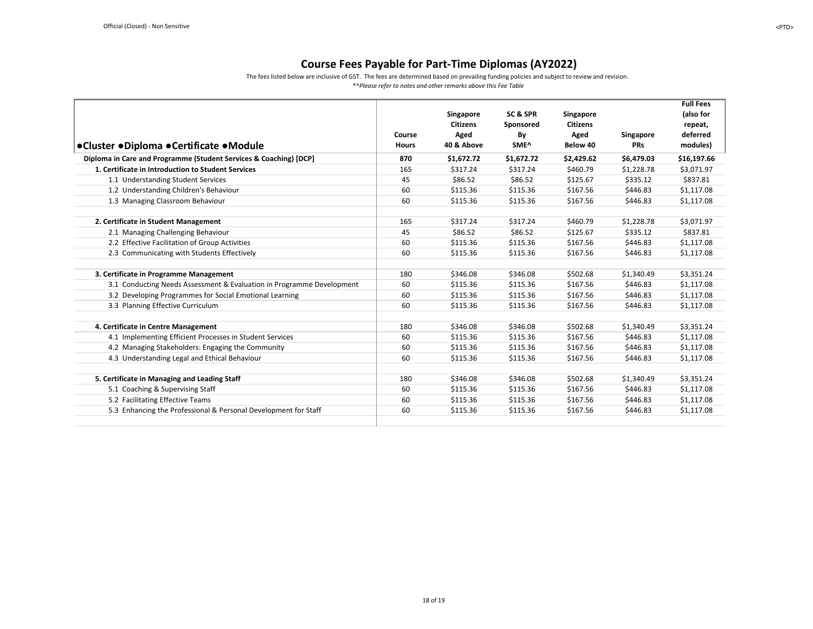The fees listed below are inclusive of GST. The fees are determined based on prevailing funding policies and subject to review and revision.

<span id="page-17-0"></span>

|                                                                       |              |                 |            |                 |                  | <b>Full Fees</b> |
|-----------------------------------------------------------------------|--------------|-----------------|------------|-----------------|------------------|------------------|
|                                                                       |              | Singapore       | SC&SPR     | Singapore       |                  | (also for        |
|                                                                       |              | <b>Citizens</b> | Sponsored  | <b>Citizens</b> |                  | repeat,          |
|                                                                       | Course       | Aged            | By         | Aged            | <b>Singapore</b> | deferred         |
| ●Cluster ●Diploma ●Certificate ●Module                                | <b>Hours</b> | 40 & Above      | SME^       | Below 40        | <b>PRs</b>       | modules)         |
| Diploma in Care and Programme (Student Services & Coaching) [DCP]     | 870          | \$1,672.72      | \$1,672.72 | \$2,429.62      | \$6,479.03       | \$16,197.66      |
| 1. Certificate in Introduction to Student Services                    | 165          | \$317.24        | \$317.24   | \$460.79        | \$1,228.78       | \$3,071.97       |
| 1.1 Understanding Student Services                                    | 45           | \$86.52         | \$86.52    | \$125.67        | \$335.12         | \$837.81         |
| 1.2 Understanding Children's Behaviour                                | 60           | \$115.36        | \$115.36   | \$167.56        | \$446.83         | \$1,117.08       |
| 1.3 Managing Classroom Behaviour                                      | 60           | \$115.36        | \$115.36   | \$167.56        | \$446.83         | \$1,117.08       |
| 2. Certificate in Student Management                                  | 165          | \$317.24        | \$317.24   | \$460.79        | \$1,228.78       | \$3,071.97       |
| 2.1 Managing Challenging Behaviour                                    | 45           | \$86.52         | \$86.52    | \$125.67        | \$335.12         | \$837.81         |
|                                                                       | 60           | \$115.36        |            |                 | \$446.83         |                  |
| 2.2 Effective Facilitation of Group Activities                        |              |                 | \$115.36   | \$167.56        |                  | \$1,117.08       |
| 2.3 Communicating with Students Effectively                           | 60           | \$115.36        | \$115.36   | \$167.56        | \$446.83         | \$1,117.08       |
| 3. Certificate in Programme Management                                | 180          | \$346.08        | \$346.08   | \$502.68        | \$1.340.49       | \$3.351.24       |
| 3.1 Conducting Needs Assessment & Evaluation in Programme Development | 60           | \$115.36        | \$115.36   | \$167.56        | \$446.83         | \$1,117.08       |
| 3.2 Developing Programmes for Social Emotional Learning               | 60           | \$115.36        | \$115.36   | \$167.56        | \$446.83         | \$1,117.08       |
| 3.3 Planning Effective Curriculum                                     | 60           | \$115.36        | \$115.36   | \$167.56        | \$446.83         | \$1,117.08       |
|                                                                       |              |                 |            |                 |                  |                  |
| 4. Certificate in Centre Management                                   | 180          | \$346.08        | \$346.08   | \$502.68        | \$1,340.49       | \$3,351.24       |
| 4.1 Implementing Efficient Processes in Student Services              | 60           | \$115.36        | \$115.36   | \$167.56        | \$446.83         | \$1,117.08       |
| 4.2 Managing Stakeholders: Engaging the Community                     | 60           | \$115.36        | \$115.36   | \$167.56        | \$446.83         | \$1,117.08       |
| 4.3 Understanding Legal and Ethical Behaviour                         | 60           | \$115.36        | \$115.36   | \$167.56        | \$446.83         | \$1,117.08       |
| 5. Certificate in Managing and Leading Staff                          | 180          | \$346.08        | \$346.08   | \$502.68        | \$1,340.49       | \$3,351.24       |
| 5.1 Coaching & Supervising Staff                                      | 60           | \$115.36        | \$115.36   | \$167.56        | \$446.83         | \$1,117.08       |
| 5.2 Facilitating Effective Teams                                      | 60           | \$115.36        | \$115.36   | \$167.56        | \$446.83         | \$1,117.08       |
| 5.3 Enhancing the Professional & Personal Development for Staff       | 60           | \$115.36        | \$115.36   | \$167.56        | \$446.83         | \$1,117.08       |
|                                                                       |              |                 |            |                 |                  |                  |